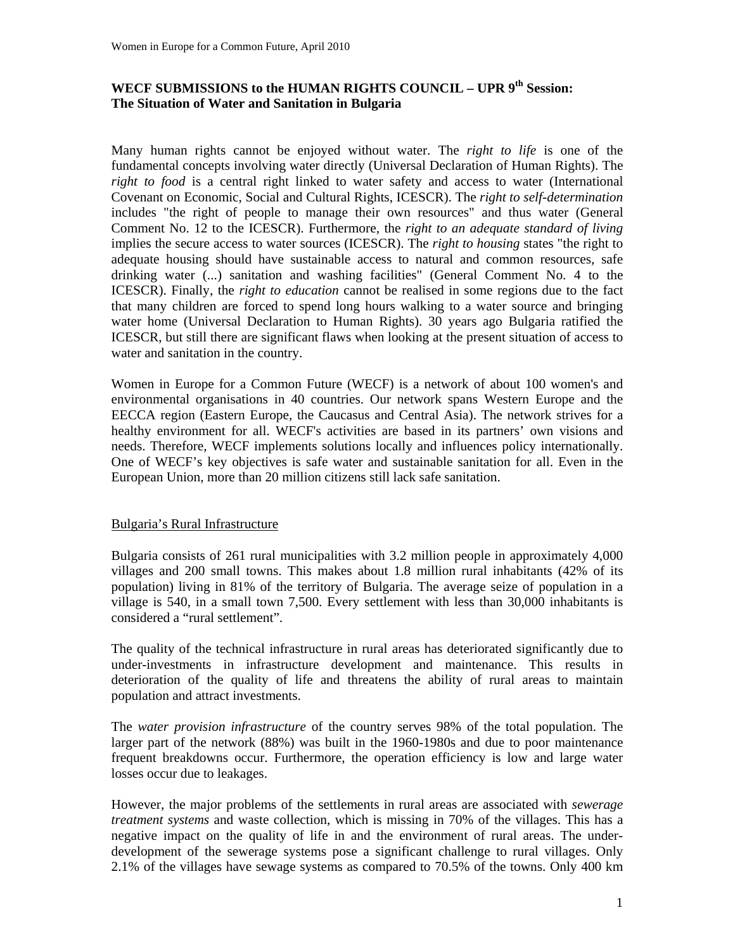## **WECF SUBMISSIONS to the HUMAN RIGHTS COUNCIL – UPR 9th Session: The Situation of Water and Sanitation in Bulgaria**

Many human rights cannot be enjoyed without water. The *right to life* is one of the fundamental concepts involving water directly (Universal Declaration of Human Rights). The *right to food* is a central right linked to water safety and access to water (International Covenant on Economic, Social and Cultural Rights, ICESCR). The *right to self-determination* includes "the right of people to manage their own resources" and thus water (General Comment No. 12 to the ICESCR). Furthermore, the *right to an adequate standard of living* implies the secure access to water sources (ICESCR). The *right to housing* states "the right to adequate housing should have sustainable access to natural and common resources, safe drinking water (...) sanitation and washing facilities" (General Comment No. 4 to the ICESCR). Finally, the *right to education* cannot be realised in some regions due to the fact that many children are forced to spend long hours walking to a water source and bringing water home (Universal Declaration to Human Rights). 30 years ago Bulgaria ratified the ICESCR, but still there are significant flaws when looking at the present situation of access to water and sanitation in the country.

Women in Europe for a Common Future (WECF) is a network of about 100 women's and environmental organisations in 40 countries. Our network spans Western Europe and the EECCA region (Eastern Europe, the Caucasus and Central Asia). The network strives for a healthy environment for all. WECF's activities are based in its partners' own visions and needs. Therefore, WECF implements solutions locally and influences policy internationally. One of WECF's key objectives is safe water and sustainable sanitation for all. Even in the European Union, more than 20 million citizens still lack safe sanitation.

## Bulgaria's Rural Infrastructure

Bulgaria consists of 261 rural municipalities with 3.2 million people in approximately 4,000 villages and 200 small towns. This makes about 1.8 million rural inhabitants (42% of its population) living in 81% of the territory of Bulgaria. The average seize of population in a village is 540, in a small town 7,500. Every settlement with less than 30,000 inhabitants is considered a "rural settlement".

The quality of the technical infrastructure in rural areas has deteriorated significantly due to under-investments in infrastructure development and maintenance. This results in deterioration of the quality of life and threatens the ability of rural areas to maintain population and attract investments.

The *water provision infrastructure* of the country serves 98% of the total population. The larger part of the network (88%) was built in the 1960-1980s and due to poor maintenance frequent breakdowns occur. Furthermore, the operation efficiency is low and large water losses occur due to leakages.

However, the major problems of the settlements in rural areas are associated with *sewerage treatment systems* and waste collection, which is missing in 70% of the villages. This has a negative impact on the quality of life in and the environment of rural areas. The underdevelopment of the sewerage systems pose a significant challenge to rural villages. Only 2.1% of the villages have sewage systems as compared to 70.5% of the towns. Only 400 km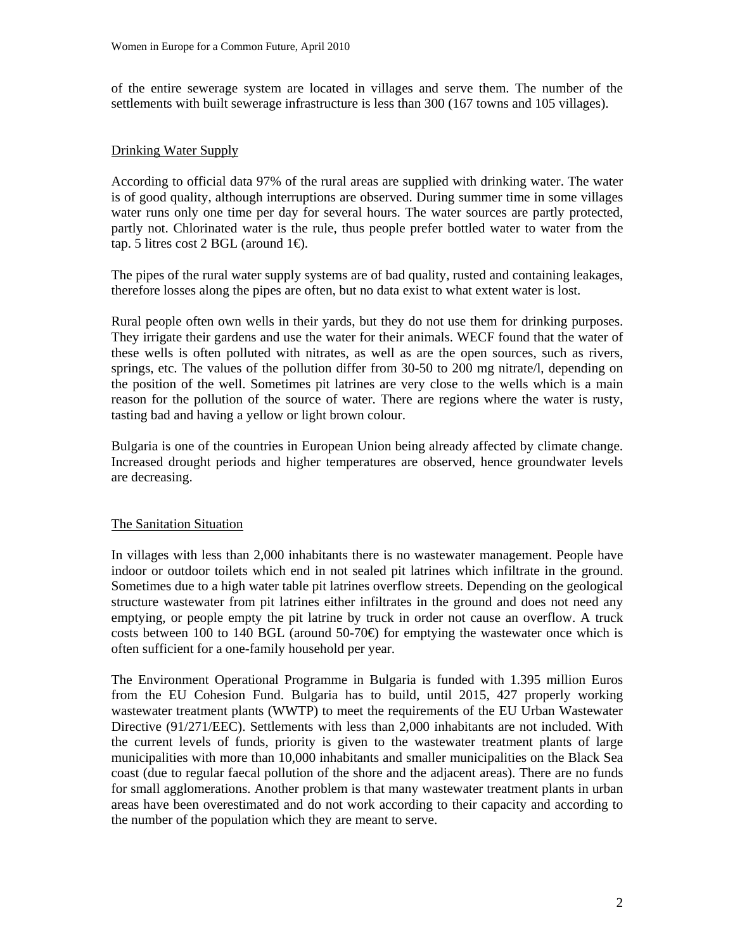of the entire sewerage system are located in villages and serve them. The number of the settlements with built sewerage infrastructure is less than 300 (167 towns and 105 villages).

## Drinking Water Supply

According to official data 97% of the rural areas are supplied with drinking water. The water is of good quality, although interruptions are observed. During summer time in some villages water runs only one time per day for several hours. The water sources are partly protected, partly not. Chlorinated water is the rule, thus people prefer bottled water to water from the tap. 5 litres cost 2 BGL (around  $1 \oplus$ .

The pipes of the rural water supply systems are of bad quality, rusted and containing leakages, therefore losses along the pipes are often, but no data exist to what extent water is lost.

Rural people often own wells in their yards, but they do not use them for drinking purposes. They irrigate their gardens and use the water for their animals. WECF found that the water of these wells is often polluted with nitrates, as well as are the open sources, such as rivers, springs, etc. The values of the pollution differ from 30-50 to 200 mg nitrate/l, depending on the position of the well. Sometimes pit latrines are very close to the wells which is a main reason for the pollution of the source of water. There are regions where the water is rusty, tasting bad and having a yellow or light brown colour.

Bulgaria is one of the countries in European Union being already affected by climate change. Increased drought periods and higher temperatures are observed, hence groundwater levels are decreasing.

## The Sanitation Situation

In villages with less than 2,000 inhabitants there is no wastewater management. People have indoor or outdoor toilets which end in not sealed pit latrines which infiltrate in the ground. Sometimes due to a high water table pit latrines overflow streets. Depending on the geological structure wastewater from pit latrines either infiltrates in the ground and does not need any emptying, or people empty the pit latrine by truck in order not cause an overflow. A truck costs between 100 to 140 BGL (around 50-70 $\oplus$ ) for emptying the wastewater once which is often sufficient for a one-family household per year.

The Environment Operational Programme in Bulgaria is funded with 1.395 million Euros from the EU Cohesion Fund. Bulgaria has to build, until 2015, 427 properly working wastewater treatment plants (WWTP) to meet the requirements of the EU Urban Wastewater Directive (91/271/EEC). Settlements with less than 2,000 inhabitants are not included. With the current levels of funds, priority is given to the wastewater treatment plants of large municipalities with more than 10,000 inhabitants and smaller municipalities on the Black Sea coast (due to regular faecal pollution of the shore and the adjacent areas). There are no funds for small agglomerations. Another problem is that many wastewater treatment plants in urban areas have been overestimated and do not work according to their capacity and according to the number of the population which they are meant to serve.